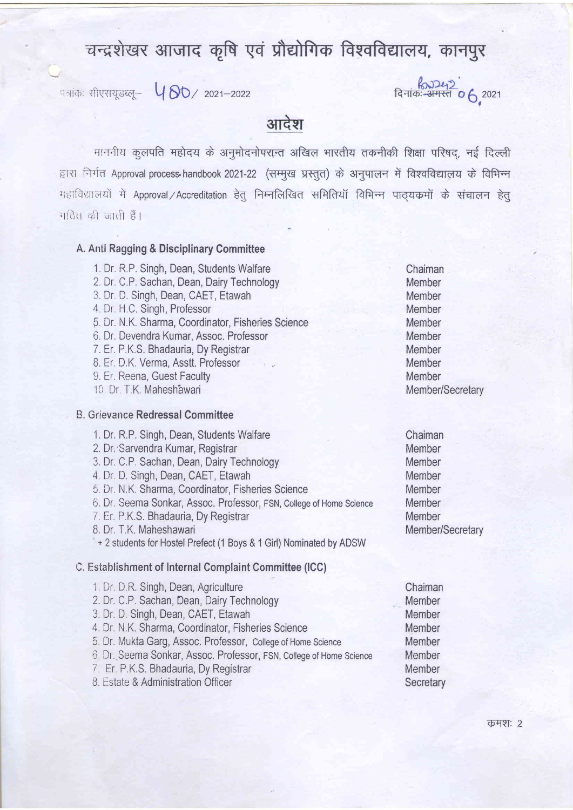# चन्द्रशेखर आजाद कृषि एवं प्रौद्योगिक विश्वविद्यालय, कानपुर

r1;icn: rllgrril..;q1- t-{ 8O,, 2021\_2022 6,'0"

## आदेश

माननीय कुलपति महोदय के अनुमोदनोपरान्त अखिल भारतीय तकनीकी शिक्षा परिषद, नई दिल्ली द्वारा निर्गत Approval process-handbook 2021-22 (सम्मुख प्रस्तुत) के अनुपालन में विश्वविद्यालय के विभिन्न महाविद्यालयों में Approval / Accreditation हेतू निम्नलिखित समितियों विभिन्न पाठयकमों के संचालन हेतू । हैं । जिस के प्रति  $\frac{1}{6}$ 

fr, and the state of the state of the state of the state of the state of the state of the state of the state of the state of the state of the state of the state of the state of the state of the state of the state of the st

#### A. Anti Ragging & Disciplinary Committee

- 1. Dr. R.P. Singh, Dean, Students Walfare 2 Dr. C,P, Sachan, Dean, Dairy Technology 3, Dr. D. Singh, Dean, CAET, Etawah 4. Dr. H.C. Singh, Professor 5, Dr. N.K. Sharma, Coordinator, Fisheries Science 6. Dr. Devendra Kumar, Assoc. Professor 7.Er. P.K.S. Bhadauria, Dy Registrar 8. Er. D.K. Verma, Asstt. Professor 9. Er. Reena, Guest Faculty 10 Dr T K, Maheshawari B. Grievance Redressal Committee
- 1. Dr, R,P, Singh, Dean, Students Walfare 2. Dr,"Sarvendra Kumar, Registrar 3, Dr. C,P. Sachan, Dean, Dairy Technology 4 Dr D. Singh, Dean, CAET, Etawah 5 Dr, N,K, Sharma, Coordinator, Fisheries Science fi. Dr. Seema Sonkar, Assoc. Professor, FSN, College of Home Science 7 Er. P.K,S. Bhadauria, Dy Registrar B. Dr, T.K. Maheshawari + 2 students for Hostel Prefect (1 Boys & 1 Girl) Nominated by ADSW C. Establishment of Internal Complaint Committee (ICC) 1. Dr. D.R. Singh, Dean, Agriculture 2.Dr. C.P. Sachan, Dean, Dairy Technology
	- 3, Dr, D, Singh, Dean, CAET, Etawah
	- 4. Dr. N.K, Sharma, Coordinator, Fisheries Science
	- 5. Dr. Mukta Garg, Assoc. Professor, College of Home Science
	- 0 Dr, Seema Sonkar, Assoc. Professor, FSN, Coltege of Hbme Science
	- 7. Er, P,K,S, Bhadauria, Dy Registrar
	- 8 Estate & Administration Officer

Chaiman Member Member Member Member Member Member Member Member Member/Secretary

Chaiman Member Member Member Member **Member** Member Member/Secretary

Chaiman Member Member Member Member Member Member **Secretary**